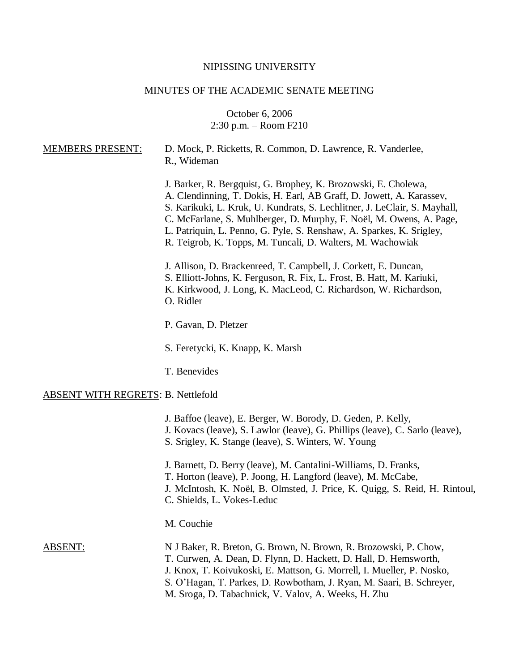## NIPISSING UNIVERSITY

# MINUTES OF THE ACADEMIC SENATE MEETING

October 6, 2006 2:30 p.m. – Room F210

| <b>MEMBERS PRESENT:</b>                   | D. Mock, P. Ricketts, R. Common, D. Lawrence, R. Vanderlee,<br>R., Wideman                                                                                                                                                                                                                                                                                                                                                       |
|-------------------------------------------|----------------------------------------------------------------------------------------------------------------------------------------------------------------------------------------------------------------------------------------------------------------------------------------------------------------------------------------------------------------------------------------------------------------------------------|
|                                           | J. Barker, R. Bergquist, G. Brophey, K. Brozowski, E. Cholewa,<br>A. Clendinning, T. Dokis, H. Earl, AB Graff, D. Jowett, A. Karassev,<br>S. Karikuki, L. Kruk, U. Kundrats, S. Lechlitner, J. LeClair, S. Mayhall,<br>C. McFarlane, S. Muhlberger, D. Murphy, F. Noël, M. Owens, A. Page,<br>L. Patriquin, L. Penno, G. Pyle, S. Renshaw, A. Sparkes, K. Srigley,<br>R. Teigrob, K. Topps, M. Tuncali, D. Walters, M. Wachowiak |
|                                           | J. Allison, D. Brackenreed, T. Campbell, J. Corkett, E. Duncan,<br>S. Elliott-Johns, K. Ferguson, R. Fix, L. Frost, B. Hatt, M. Kariuki,<br>K. Kirkwood, J. Long, K. MacLeod, C. Richardson, W. Richardson,<br>O. Ridler                                                                                                                                                                                                         |
|                                           | P. Gavan, D. Pletzer                                                                                                                                                                                                                                                                                                                                                                                                             |
|                                           | S. Feretycki, K. Knapp, K. Marsh                                                                                                                                                                                                                                                                                                                                                                                                 |
|                                           | T. Benevides                                                                                                                                                                                                                                                                                                                                                                                                                     |
| <b>ABSENT WITH REGRETS: B. Nettlefold</b> |                                                                                                                                                                                                                                                                                                                                                                                                                                  |
|                                           | J. Baffoe (leave), E. Berger, W. Borody, D. Geden, P. Kelly,<br>J. Kovacs (leave), S. Lawlor (leave), G. Phillips (leave), C. Sarlo (leave),<br>S. Srigley, K. Stange (leave), S. Winters, W. Young                                                                                                                                                                                                                              |
|                                           | J. Barnett, D. Berry (leave), M. Cantalini-Williams, D. Franks,<br>T. Horton (leave), P. Joong, H. Langford (leave), M. McCabe,<br>J. McIntosh, K. Noël, B. Olmsted, J. Price, K. Quigg, S. Reid, H. Rintoul,<br>C. Shields, L. Vokes-Leduc                                                                                                                                                                                      |
|                                           | M. Couchie                                                                                                                                                                                                                                                                                                                                                                                                                       |
| <b>ABSENT:</b>                            | N J Baker, R. Breton, G. Brown, N. Brown, R. Brozowski, P. Chow,<br>T. Curwen, A. Dean, D. Flynn, D. Hackett, D. Hall, D. Hemsworth,<br>J. Knox, T. Koivukoski, E. Mattson, G. Morrell, I. Mueller, P. Nosko,<br>S. O'Hagan, T. Parkes, D. Rowbotham, J. Ryan, M. Saari, B. Schreyer,<br>M. Sroga, D. Tabachnick, V. Valov, A. Weeks, H. Zhu                                                                                     |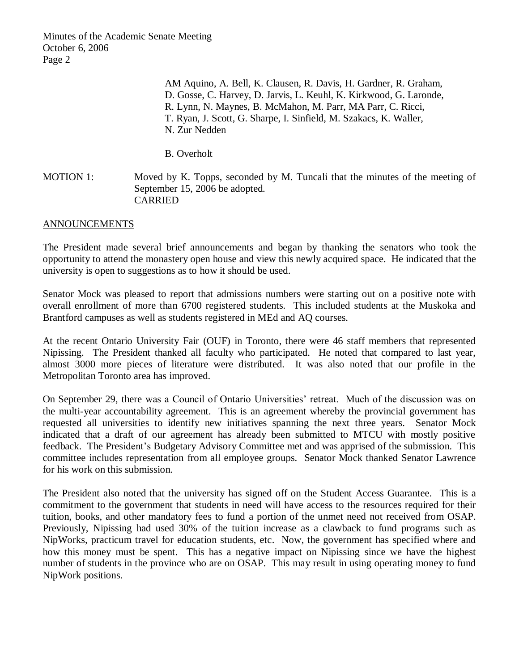Minutes of the Academic Senate Meeting October 6, 2006 Page 2

> AM Aquino, A. Bell, K. Clausen, R. Davis, H. Gardner, R. Graham, D. Gosse, C. Harvey, D. Jarvis, L. Keuhl, K. Kirkwood, G. Laronde, R. Lynn, N. Maynes, B. McMahon, M. Parr, MA Parr, C. Ricci, T. Ryan, J. Scott, G. Sharpe, I. Sinfield, M. Szakacs, K. Waller, N. Zur Nedden

B. Overholt

MOTION 1: Moved by K. Topps, seconded by M. Tuncali that the minutes of the meeting of September 15, 2006 be adopted. CARRIED

#### ANNOUNCEMENTS

The President made several brief announcements and began by thanking the senators who took the opportunity to attend the monastery open house and view this newly acquired space. He indicated that the university is open to suggestions as to how it should be used.

Senator Mock was pleased to report that admissions numbers were starting out on a positive note with overall enrollment of more than 6700 registered students. This included students at the Muskoka and Brantford campuses as well as students registered in MEd and AQ courses.

At the recent Ontario University Fair (OUF) in Toronto, there were 46 staff members that represented Nipissing. The President thanked all faculty who participated. He noted that compared to last year, almost 3000 more pieces of literature were distributed. It was also noted that our profile in the Metropolitan Toronto area has improved.

On September 29, there was a Council of Ontario Universities' retreat. Much of the discussion was on the multi-year accountability agreement. This is an agreement whereby the provincial government has requested all universities to identify new initiatives spanning the next three years. Senator Mock indicated that a draft of our agreement has already been submitted to MTCU with mostly positive feedback. The President's Budgetary Advisory Committee met and was apprised of the submission. This committee includes representation from all employee groups. Senator Mock thanked Senator Lawrence for his work on this submission.

The President also noted that the university has signed off on the Student Access Guarantee. This is a commitment to the government that students in need will have access to the resources required for their tuition, books, and other mandatory fees to fund a portion of the unmet need not received from OSAP. Previously, Nipissing had used 30% of the tuition increase as a clawback to fund programs such as NipWorks, practicum travel for education students, etc. Now, the government has specified where and how this money must be spent. This has a negative impact on Nipissing since we have the highest number of students in the province who are on OSAP. This may result in using operating money to fund NipWork positions.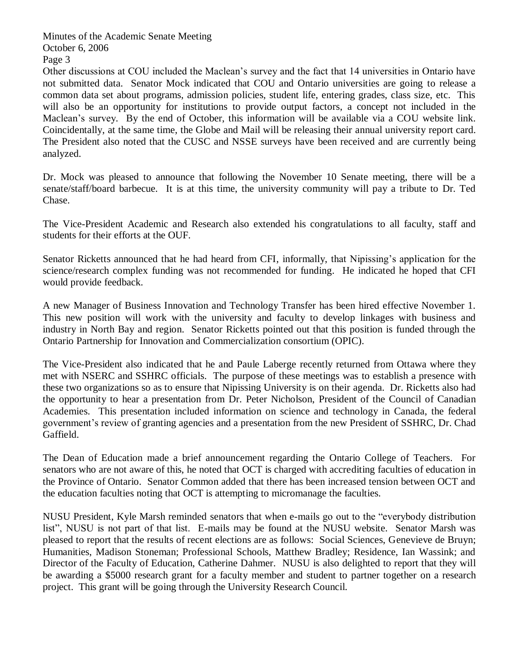Minutes of the Academic Senate Meeting October 6, 2006 Page 3

Other discussions at COU included the Maclean's survey and the fact that 14 universities in Ontario have not submitted data. Senator Mock indicated that COU and Ontario universities are going to release a common data set about programs, admission policies, student life, entering grades, class size, etc. This will also be an opportunity for institutions to provide output factors, a concept not included in the Maclean's survey. By the end of October, this information will be available via a COU website link. Coincidentally, at the same time, the Globe and Mail will be releasing their annual university report card. The President also noted that the CUSC and NSSE surveys have been received and are currently being analyzed.

Dr. Mock was pleased to announce that following the November 10 Senate meeting, there will be a senate/staff/board barbecue. It is at this time, the university community will pay a tribute to Dr. Ted Chase.

The Vice-President Academic and Research also extended his congratulations to all faculty, staff and students for their efforts at the OUF.

Senator Ricketts announced that he had heard from CFI, informally, that Nipissing's application for the science/research complex funding was not recommended for funding. He indicated he hoped that CFI would provide feedback.

A new Manager of Business Innovation and Technology Transfer has been hired effective November 1. This new position will work with the university and faculty to develop linkages with business and industry in North Bay and region. Senator Ricketts pointed out that this position is funded through the Ontario Partnership for Innovation and Commercialization consortium (OPIC).

The Vice-President also indicated that he and Paule Laberge recently returned from Ottawa where they met with NSERC and SSHRC officials. The purpose of these meetings was to establish a presence with these two organizations so as to ensure that Nipissing University is on their agenda. Dr. Ricketts also had the opportunity to hear a presentation from Dr. Peter Nicholson, President of the Council of Canadian Academies. This presentation included information on science and technology in Canada, the federal government's review of granting agencies and a presentation from the new President of SSHRC, Dr. Chad Gaffield.

The Dean of Education made a brief announcement regarding the Ontario College of Teachers. For senators who are not aware of this, he noted that OCT is charged with accrediting faculties of education in the Province of Ontario. Senator Common added that there has been increased tension between OCT and the education faculties noting that OCT is attempting to micromanage the faculties.

NUSU President, Kyle Marsh reminded senators that when e-mails go out to the "everybody distribution list", NUSU is not part of that list. E-mails may be found at the NUSU website. Senator Marsh was pleased to report that the results of recent elections are as follows: Social Sciences, Genevieve de Bruyn; Humanities, Madison Stoneman; Professional Schools, Matthew Bradley; Residence, Ian Wassink; and Director of the Faculty of Education, Catherine Dahmer. NUSU is also delighted to report that they will be awarding a \$5000 research grant for a faculty member and student to partner together on a research project. This grant will be going through the University Research Council.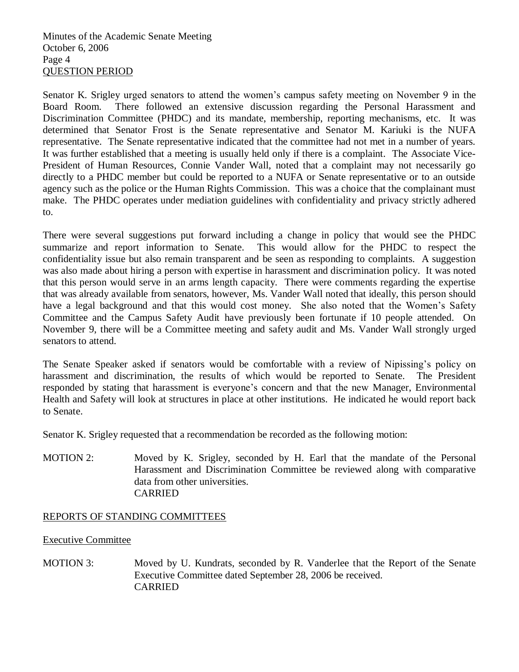Minutes of the Academic Senate Meeting October 6, 2006 Page 4 QUESTION PERIOD

Senator K. Srigley urged senators to attend the women's campus safety meeting on November 9 in the Board Room. There followed an extensive discussion regarding the Personal Harassment and Discrimination Committee (PHDC) and its mandate, membership, reporting mechanisms, etc. It was determined that Senator Frost is the Senate representative and Senator M. Kariuki is the NUFA representative. The Senate representative indicated that the committee had not met in a number of years. It was further established that a meeting is usually held only if there is a complaint. The Associate Vice-President of Human Resources, Connie Vander Wall, noted that a complaint may not necessarily go directly to a PHDC member but could be reported to a NUFA or Senate representative or to an outside agency such as the police or the Human Rights Commission. This was a choice that the complainant must make. The PHDC operates under mediation guidelines with confidentiality and privacy strictly adhered to.

There were several suggestions put forward including a change in policy that would see the PHDC summarize and report information to Senate. This would allow for the PHDC to respect the confidentiality issue but also remain transparent and be seen as responding to complaints. A suggestion was also made about hiring a person with expertise in harassment and discrimination policy. It was noted that this person would serve in an arms length capacity. There were comments regarding the expertise that was already available from senators, however, Ms. Vander Wall noted that ideally, this person should have a legal background and that this would cost money. She also noted that the Women's Safety Committee and the Campus Safety Audit have previously been fortunate if 10 people attended. On November 9, there will be a Committee meeting and safety audit and Ms. Vander Wall strongly urged senators to attend.

The Senate Speaker asked if senators would be comfortable with a review of Nipissing's policy on harassment and discrimination, the results of which would be reported to Senate. The President responded by stating that harassment is everyone's concern and that the new Manager, Environmental Health and Safety will look at structures in place at other institutions. He indicated he would report back to Senate.

Senator K. Srigley requested that a recommendation be recorded as the following motion:

MOTION 2: Moved by K. Srigley, seconded by H. Earl that the mandate of the Personal Harassment and Discrimination Committee be reviewed along with comparative data from other universities. CARRIED

## REPORTS OF STANDING COMMITTEES

Executive Committee

MOTION 3: Moved by U. Kundrats, seconded by R. Vanderlee that the Report of the Senate Executive Committee dated September 28, 2006 be received. CARRIED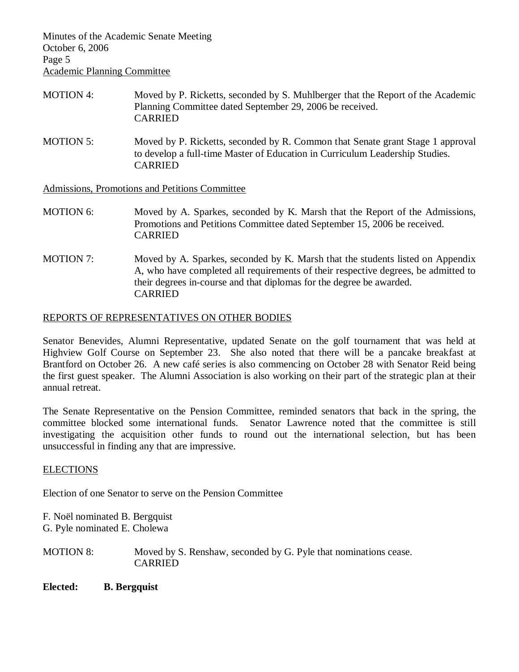Minutes of the Academic Senate Meeting October 6, 2006 Page 5 Academic Planning Committee

- MOTION 4: Moved by P. Ricketts, seconded by S. Muhlberger that the Report of the Academic Planning Committee dated September 29, 2006 be received. CARRIED
- MOTION 5: Moved by P. Ricketts, seconded by R. Common that Senate grant Stage 1 approval to develop a full-time Master of Education in Curriculum Leadership Studies. CARRIED

Admissions, Promotions and Petitions Committee

- MOTION 6: Moved by A. Sparkes, seconded by K. Marsh that the Report of the Admissions, Promotions and Petitions Committee dated September 15, 2006 be received. CARRIED
- MOTION 7: Moved by A. Sparkes, seconded by K. Marsh that the students listed on Appendix A, who have completed all requirements of their respective degrees, be admitted to their degrees in-course and that diplomas for the degree be awarded. CARRIED

### REPORTS OF REPRESENTATIVES ON OTHER BODIES

Senator Benevides, Alumni Representative, updated Senate on the golf tournament that was held at Highview Golf Course on September 23. She also noted that there will be a pancake breakfast at Brantford on October 26. A new café series is also commencing on October 28 with Senator Reid being the first guest speaker. The Alumni Association is also working on their part of the strategic plan at their annual retreat.

The Senate Representative on the Pension Committee, reminded senators that back in the spring, the committee blocked some international funds. Senator Lawrence noted that the committee is still investigating the acquisition other funds to round out the international selection, but has been unsuccessful in finding any that are impressive.

#### **ELECTIONS**

Election of one Senator to serve on the Pension Committee

F. Noël nominated B. Bergquist G. Pyle nominated E. Cholewa

MOTION 8: Moved by S. Renshaw, seconded by G. Pyle that nominations cease. CARRIED

**Elected: B. Bergquist**